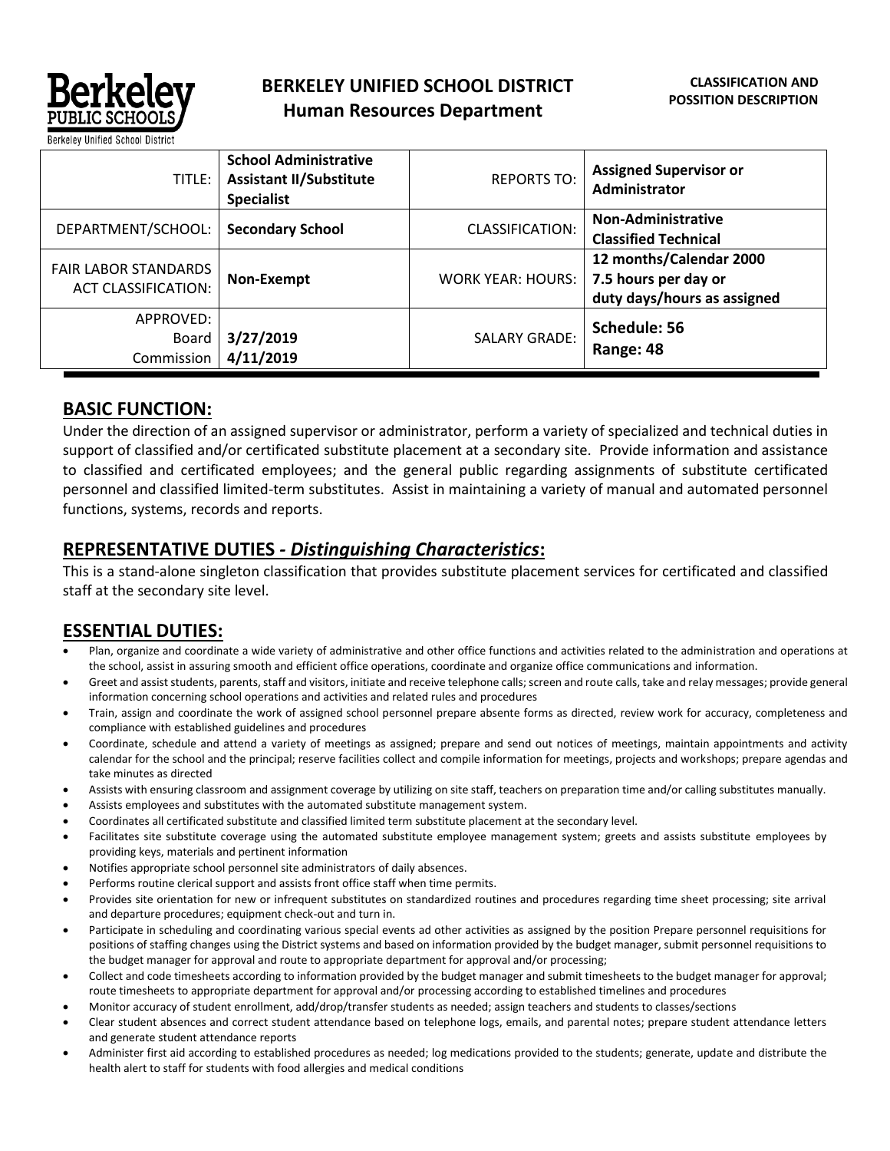

| TITLE:                                                    | <b>School Administrative</b><br><b>Assistant II/Substitute</b><br><b>Specialist</b> | <b>REPORTS TO:</b>       | <b>Assigned Supervisor or</b><br>Administrator                                 |
|-----------------------------------------------------------|-------------------------------------------------------------------------------------|--------------------------|--------------------------------------------------------------------------------|
| DEPARTMENT/SCHOOL:                                        | <b>Secondary School</b>                                                             | <b>CLASSIFICATION:</b>   | <b>Non-Administrative</b><br><b>Classified Technical</b>                       |
| <b>FAIR LABOR STANDARDS</b><br><b>ACT CLASSIFICATION:</b> | Non-Exempt                                                                          | <b>WORK YEAR: HOURS:</b> | 12 months/Calendar 2000<br>7.5 hours per day or<br>duty days/hours as assigned |
| APPROVED:<br>Board<br>Commission                          | 3/27/2019<br>4/11/2019                                                              | <b>SALARY GRADE:</b>     | Schedule: 56<br>Range: 48                                                      |

## **BASIC FUNCTION:**

Under the direction of an assigned supervisor or administrator, perform a variety of specialized and technical duties in support of classified and/or certificated substitute placement at a secondary site. Provide information and assistance to classified and certificated employees; and the general public regarding assignments of substitute certificated personnel and classified limited-term substitutes. Assist in maintaining a variety of manual and automated personnel functions, systems, records and reports.

## **REPRESENTATIVE DUTIES** *- Distinguishing Characteristics***:**

This is a stand-alone singleton classification that provides substitute placement services for certificated and classified staff at the secondary site level.

# **ESSENTIAL DUTIES:**

- Plan, organize and coordinate a wide variety of administrative and other office functions and activities related to the administration and operations at the school, assist in assuring smooth and efficient office operations, coordinate and organize office communications and information.
- Greet and assist students, parents, staff and visitors, initiate and receive telephone calls; screen and route calls, take and relay messages; provide general information concerning school operations and activities and related rules and procedures
- Train, assign and coordinate the work of assigned school personnel prepare absente forms as directed, review work for accuracy, completeness and compliance with established guidelines and procedures
- Coordinate, schedule and attend a variety of meetings as assigned; prepare and send out notices of meetings, maintain appointments and activity calendar for the school and the principal; reserve facilities collect and compile information for meetings, projects and workshops; prepare agendas and take minutes as directed
- Assists with ensuring classroom and assignment coverage by utilizing on site staff, teachers on preparation time and/or calling substitutes manually.
- Assists employees and substitutes with the automated substitute management system.
- Coordinates all certificated substitute and classified limited term substitute placement at the secondary level.
- Facilitates site substitute coverage using the automated substitute employee management system; greets and assists substitute employees by providing keys, materials and pertinent information
- Notifies appropriate school personnel site administrators of daily absences.
- Performs routine clerical support and assists front office staff when time permits.
- Provides site orientation for new or infrequent substitutes on standardized routines and procedures regarding time sheet processing; site arrival and departure procedures; equipment check-out and turn in.
- Participate in scheduling and coordinating various special events ad other activities as assigned by the position Prepare personnel requisitions for positions of staffing changes using the District systems and based on information provided by the budget manager, submit personnel requisitions to the budget manager for approval and route to appropriate department for approval and/or processing;
- Collect and code timesheets according to information provided by the budget manager and submit timesheets to the budget manager for approval; route timesheets to appropriate department for approval and/or processing according to established timelines and procedures
- Monitor accuracy of student enrollment, add/drop/transfer students as needed; assign teachers and students to classes/sections
- Clear student absences and correct student attendance based on telephone logs, emails, and parental notes; prepare student attendance letters and generate student attendance reports
- Administer first aid according to established procedures as needed; log medications provided to the students; generate, update and distribute the health alert to staff for students with food allergies and medical conditions